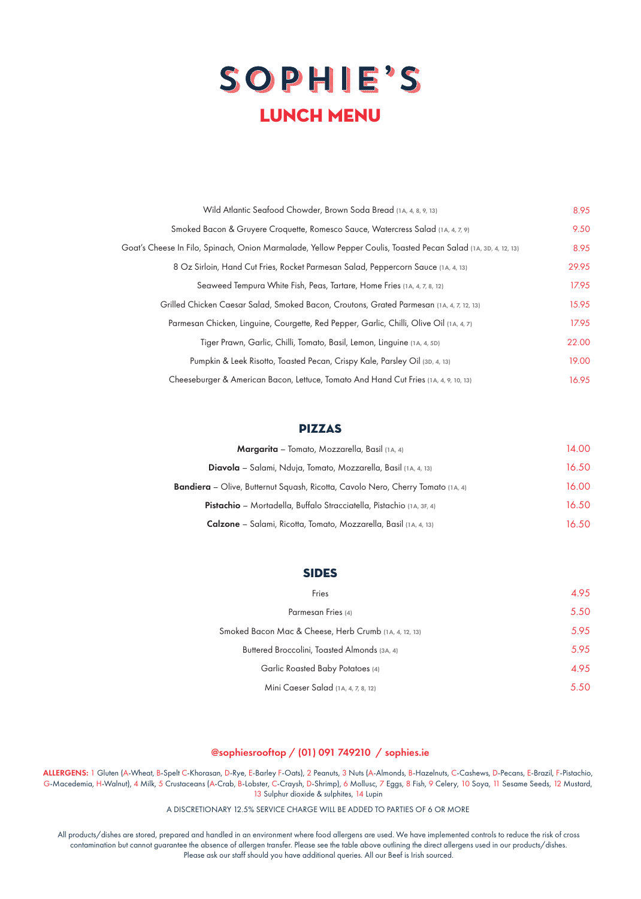## SOPHIE'S LUNCH menu

| Wild Atlantic Seafood Chowder, Brown Soda Bread (1A, 4, 8, 9, 13)                                              | 8.95  |
|----------------------------------------------------------------------------------------------------------------|-------|
| Smoked Bacon & Gruyere Croquette, Romesco Sauce, Watercress Salad (1A, 4, 7, 9)                                | 9.50  |
| Goat's Cheese In Filo, Spinach, Onion Marmalade, Yellow Pepper Coulis, Toasted Pecan Salad (1A, 3D, 4, 12, 13) | 8.95  |
| 8 Oz Sirloin, Hand Cut Fries, Rocket Parmesan Salad, Peppercorn Sauce (1A, 4, 13)                              | 29.95 |
| Seaweed Tempura White Fish, Peas, Tartare, Home Fries (1A, 4, 7, 8, 12)                                        | 17.95 |
| Grilled Chicken Caesar Salad, Smoked Bacon, Croutons, Grated Parmesan (1A, 4, 7, 12, 13)                       | 15.95 |
| Parmesan Chicken, Linguine, Courgette, Red Pepper, Garlic, Chilli, Olive Oil (1A, 4, 7)                        | 17.95 |
| Tiger Prawn, Garlic, Chilli, Tomato, Basil, Lemon, Linguine (1A, 4, 5D)                                        | 22.00 |
| Pumpkin & Leek Risotto, Toasted Pecan, Crispy Kale, Parsley Oil (3D, 4, 13)                                    | 19.00 |
| Cheeseburger & American Bacon, Lettuce, Tomato And Hand Cut Fries (1A, 4, 9, 10, 13)                           | 16.95 |

## Pizzas

| <b>Margarita</b> – Tomato, Mozzarella, Basil (1A, 4)                            | 14.00 |
|---------------------------------------------------------------------------------|-------|
| <b>Diavola</b> – Salami, Nduja, Tomato, Mozzarella, Basil (1A, 4, 13)           | 16.50 |
| Bandiera - Olive, Butternut Squash, Ricotta, Cavolo Nero, Cherry Tomato (1A, 4) | 16.00 |
| <b>Pistachio</b> – Mortadella, Buffalo Stracciatella, Pistachio (1A, 3F, 4)     | 16.50 |
| <b>Calzone</b> – Salami, Ricotta, Tomato, Mozzarella, Basil (1A, 4, 13)         | 16.50 |

## **SIDES**

| Fries                                                 | 4.95 |
|-------------------------------------------------------|------|
| Parmesan Fries (4)                                    | 5.50 |
| Smoked Bacon Mac & Cheese, Herb Crumb (1A, 4, 12, 13) | 5.95 |
| Buttered Broccolini, Toasted Almonds (3A, 4)          | 5.95 |
| Garlic Roasted Baby Potatoes (4)                      | 4.95 |
| Mini Caeser Salad (1A, 4, 7, 8, 12)                   | 5.50 |

## @sophiesrooftop / (01) 091 749210 / sophies.ie

ALLERGENS: 1 Gluten (A-Wheat, B-Spelt C-Khorasan, D-Rye, E-Barley F-Oats), 2 Peanuts, 3 Nuts (A-Almonds, B-Hazelnuts, C-Cashews, D-Pecans, E-Brazil, F-Pistachio, G-Macedemia, H-Walnut), 4 Milk, 5 Crustaceans (A-Crab, B-Lobster, C-Craysh, D-Shrimp), 6 Mollusc, 7 Eggs, 8 Fish, 9 Celery, 10 Soya, 11 Sesame Seeds, 12 Mustard, 13 Sulphur dioxide & sulphites, 14 Lupin

A DISCRETIONARY 12.5% SERVICE CHARGE WILL BE ADDED TO PARTIES OF 6 OR MORE

All products/dishes are stored, prepared and handled in an environment where food allergens are used. We have implemented controls to reduce the risk of cross contamination but cannot guarantee the absence of allergen transfer. Please see the table above outlining the direct allergens used in our products/dishes. Please ask our staff should you have additional queries. All our Beef is Irish sourced.